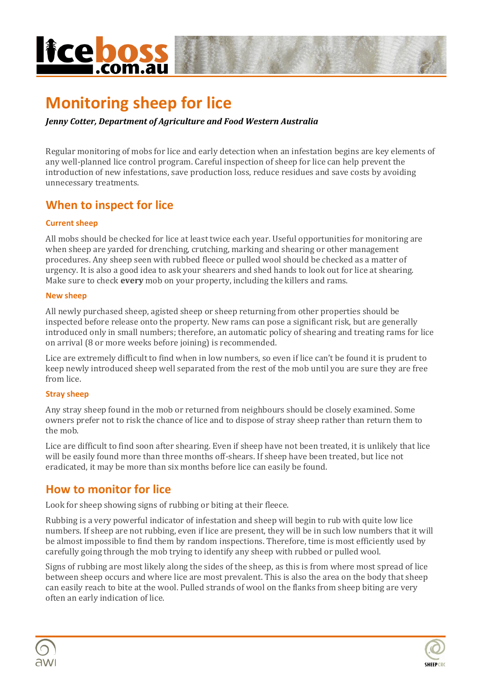# **licebo**

# **Monitoring sheep for lice**

### *Jenny Cotter, Department of Agriculture and Food Western Australia*

Regular monitoring of mobs for lice and early detection when an infestation begins are key elements of any well-planned lice control program. Careful inspection of sheep for lice can help prevent the introduction of new infestations, save production loss, reduce residues and save costs by avoiding unnecessary treatments.

# **When to inspect for lice**

### **Current sheep**

All mobs should be checked for lice at least twice each year. Useful opportunities for monitoring are when sheep are yarded for drenching, crutching, marking and shearing or other management procedures. Any sheep seen with rubbed fleece or pulled wool should be checked as a matter of urgency. It is also a good idea to ask your shearers and shed hands to look out for lice at shearing. Make sure to check **every** mob on your property, including the killers and rams.

### **New sheep**

All newly purchased sheep, agisted sheep or sheep returning from other properties should be inspected before release onto the property. New rams can pose a significant risk, but are generally introduced only in small numbers; therefore, an automatic policy of shearing and treating rams for lice on arrival (8 or more weeks before joining) is recommended.

Lice are extremely difficult to find when in low numbers, so even if lice can't be found it is prudent to keep newly introduced sheep well separated from the rest of the mob until you are sure they are free from lice.

### **Stray sheep**

Any stray sheep found in the mob or returned from neighbours should be closely examined. Some owners prefer not to risk the chance of lice and to dispose of stray sheep rather than return them to the mob.

Lice are difficult to find soon after shearing. Even if sheep have not been treated, it is unlikely that lice will be easily found more than three months off-shears. If sheep have been treated, but lice not eradicated, it may be more than six months before lice can easily be found.

### **How to monitor for lice**

Look for sheep showing signs of rubbing or biting at their fleece.

Rubbing is a very powerful indicator of infestation and sheep will begin to rub with quite low lice numbers. If sheep are not rubbing, even if lice are present, they will be in such low numbers that it will be almost impossible to find them by random inspections. Therefore, time is most efficiently used by carefully going through the mob trying to identify any sheep with rubbed or pulled wool.

Signs of rubbing are most likely along the sides of the sheep, as this is from where most spread of lice between sheep occurs and where lice are most prevalent. This is also the area on the body that sheep can easily reach to bite at the wool. Pulled strands of wool on the flanks from sheep biting are very often an early indication of lice.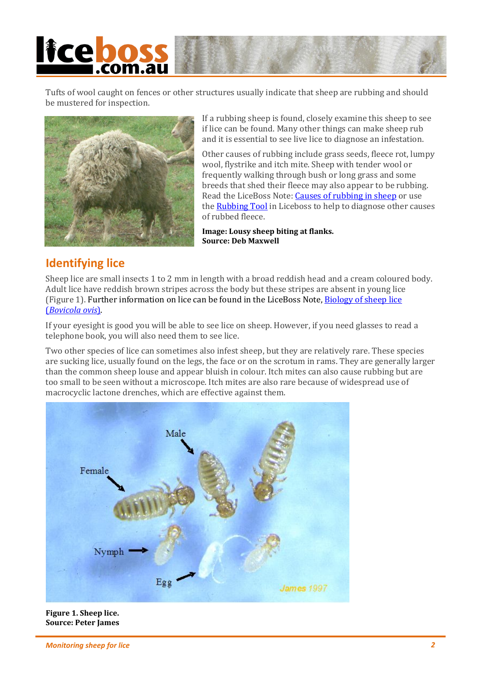# **licebo**

Tufts of wool caught on fences or other structures usually indicate that sheep are rubbing and should be mustered for inspection.



If a rubbing sheep is found, closely examine this sheep to see if lice can be found. Many other things can make sheep rub and it is essential to see live lice to diagnose an infestation.

Other causes of rubbing include grass seeds, fleece rot, lumpy wool, flystrike and itch mite. Sheep with tender wool or frequently walking through bush or long grass and some breeds that shed their fleece may also appear to be rubbing. Read the LiceBoss Note: [Causes of rubbing in sheep](http://www.liceboss.com.au/files/pages/notes/Causes_of_rubbing_in_sheep.pdf) or use the **Rubbing Tool** in Liceboss to help to diagnose other causes of rubbed fleece.

**Image: Lousy sheep biting at flanks. Source: Deb Maxwell**

## **Identifying lice**

Sheep lice are small insects 1 to 2 mm in length with a broad reddish head and a cream coloured body. Adult lice have reddish brown stripes across the body but these stripes are absent in young lice (Figure 1). Further information on lice can be found in the LiceBoss Note, Biology of sheep lice (*[Bovicola ovis](http://www.liceboss.com.au/files/pages/notes/Biology_of_sheep_lice_Bovicola_ovis.pdf)*).

If your eyesight is good you will be able to see lice on sheep. However, if you need glasses to read a telephone book, you will also need them to see lice.

Two other species of lice can sometimes also infest sheep, but they are relatively rare. These species are sucking lice, usually found on the legs, the face or on the scrotum in rams. They are generally larger than the common sheep louse and appear bluish in colour. Itch mites can also cause rubbing but are too small to be seen without a microscope. Itch mites are also rare because of widespread use of macrocyclic lactone drenches, which are effective against them.



**Figure 1. Sheep lice. Source: Peter James**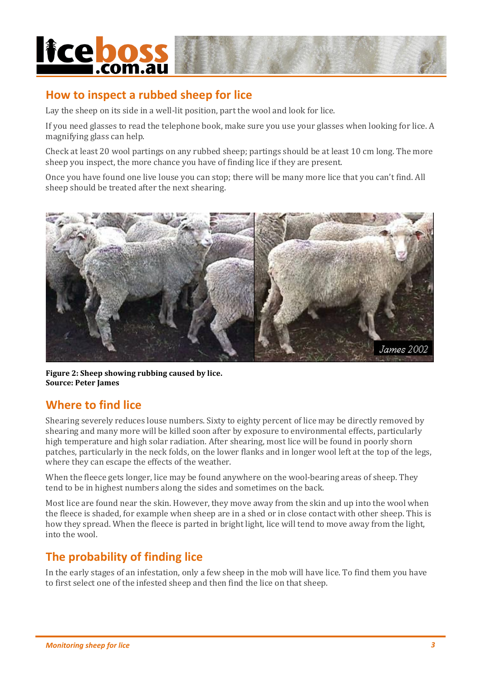# **licebos**

# **How to inspect a rubbed sheep for lice**

Lay the sheep on its side in a well-lit position, part the wool and look for lice.

If you need glasses to read the telephone book, make sure you use your glasses when looking for lice. A magnifying glass can help.

Check at least 20 wool partings on any rubbed sheep; partings should be at least 10 cm long. The more sheep you inspect, the more chance you have of finding lice if they are present.

Once you have found one live louse you can stop; there will be many more lice that you can't find. All sheep should be treated after the next shearing.



**Figure 2: Sheep showing rubbing caused by lice. Source: Peter James**

## **Where to find lice**

Shearing severely reduces louse numbers. Sixty to eighty percent of lice may be directly removed by shearing and many more will be killed soon after by exposure to environmental effects, particularly high temperature and high solar radiation. After shearing, most lice will be found in poorly shorn patches, particularly in the neck folds, on the lower flanks and in longer wool left at the top of the legs, where they can escape the effects of the weather.

When the fleece gets longer, lice may be found anywhere on the wool-bearing areas of sheep. They tend to be in highest numbers along the sides and sometimes on the back.

Most lice are found near the skin. However, they move away from the skin and up into the wool when the fleece is shaded, for example when sheep are in a shed or in close contact with other sheep. This is how they spread. When the fleece is parted in bright light, lice will tend to move away from the light, into the wool.

# **The probability of finding lice**

In the early stages of an infestation, only a few sheep in the mob will have lice. To find them you have to first select one of the infested sheep and then find the lice on that sheep.